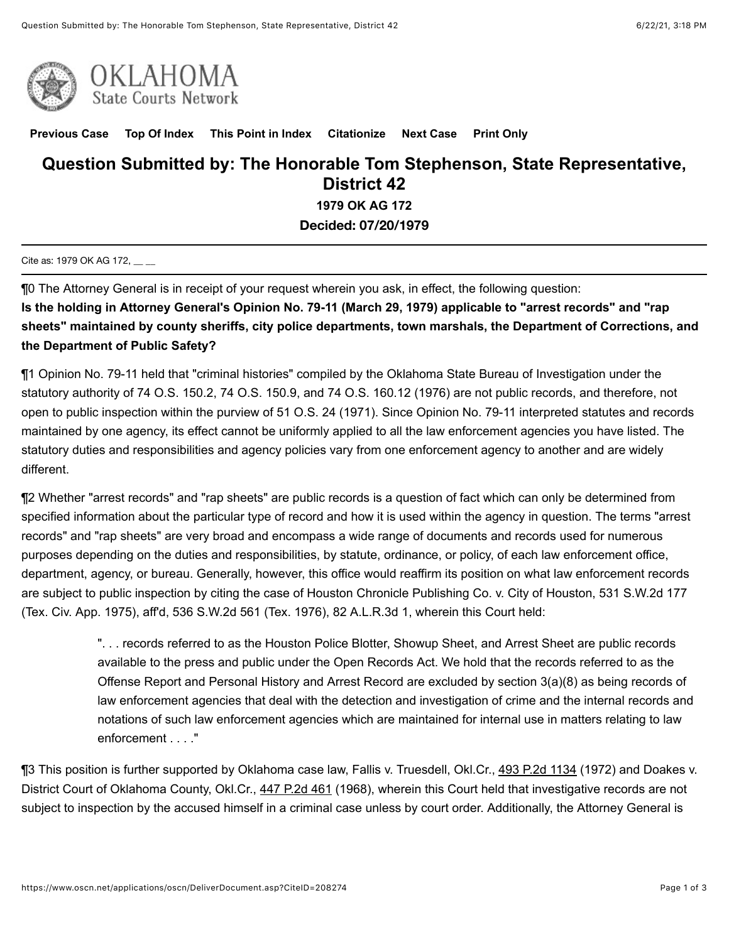



**[Previous Case](javascript:GetPrevious();) [Top Of Index](javascript:GetIndex();) [This Point in Index](javascript:GetHereInIndex();) [Citationize](javascript:GetCitationize();) [Next Case](javascript:GetNext();) [Print Only](javascript:PrintOnly();)**

## **Question Submitted by: The Honorable Tom Stephenson, State Representative, District 42**

**1979 OK AG 172**

**Decided: 07/20/1979**

Cite as: 1979 OK AG 172,

¶0 The Attorney General is in receipt of your request wherein you ask, in effect, the following question:

**Is the holding in Attorney General's Opinion No. 79-11 (March 29, 1979) applicable to "arrest records" and "rap sheets" maintained by county sheriffs, city police departments, town marshals, the Department of Corrections, and the Department of Public Safety?**

¶1 Opinion No. 79-11 held that "criminal histories" compiled by the Oklahoma State Bureau of Investigation under the statutory authority of 74 O.S. 150.2, 74 O.S. 150.9, and 74 O.S. 160.12 (1976) are not public records, and therefore, not open to public inspection within the purview of 51 O.S. 24 (1971). Since Opinion No. 79-11 interpreted statutes and records maintained by one agency, its effect cannot be uniformly applied to all the law enforcement agencies you have listed. The statutory duties and responsibilities and agency policies vary from one enforcement agency to another and are widely different.

¶2 Whether "arrest records" and "rap sheets" are public records is a question of fact which can only be determined from specified information about the particular type of record and how it is used within the agency in question. The terms "arrest records" and "rap sheets" are very broad and encompass a wide range of documents and records used for numerous purposes depending on the duties and responsibilities, by statute, ordinance, or policy, of each law enforcement office, department, agency, or bureau. Generally, however, this office would reaffirm its position on what law enforcement records are subject to public inspection by citing the case of Houston Chronicle Publishing Co. v. City of Houston, 531 S.W.2d 177 (Tex. Civ. App. 1975), aff'd, 536 S.W.2d 561 (Tex. 1976), 82 A.L.R.3d 1, wherein this Court held:

> ". . . records referred to as the Houston Police Blotter, Showup Sheet, and Arrest Sheet are public records available to the press and public under the Open Records Act. We hold that the records referred to as the Offense Report and Personal History and Arrest Record are excluded by section 3(a)(8) as being records of law enforcement agencies that deal with the detection and investigation of crime and the internal records and notations of such law enforcement agencies which are maintained for internal use in matters relating to law enforcement . . . ."

¶3 This position is further supported by Oklahoma case law, Fallis v. Truesdell, Okl.Cr., [493 P.2d 1134](https://www.oscn.net/applications/oscn/deliverdocument.asp?citeid=59477) (1972) and Doakes v. District Court of Oklahoma County, Okl.Cr., [447 P.2d 461](https://www.oscn.net/applications/oscn/deliverdocument.asp?citeid=56019) (1968), wherein this Court held that investigative records are not subject to inspection by the accused himself in a criminal case unless by court order. Additionally, the Attorney General is